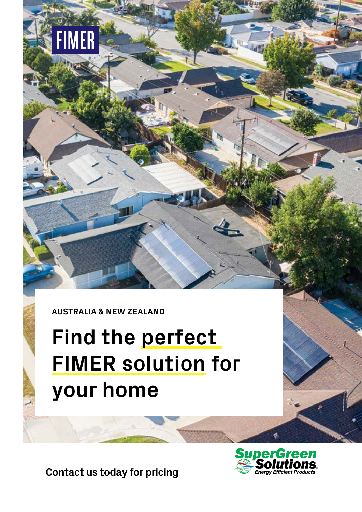

**FIMER** 

# **Find the perfect FIMER solution for your home**

**Contact us today for pricing**

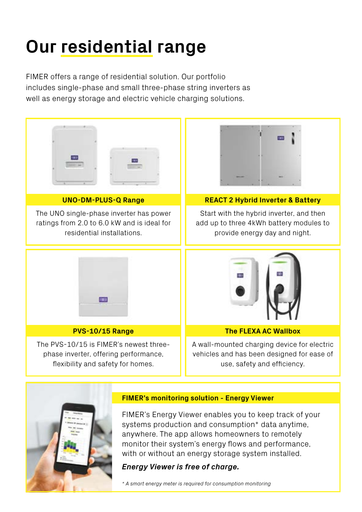## **Our residential range**

FIMER offers a range of residential solution. Our portfolio includes single-phase and small three-phase string inverters as well as energy storage and electric vehicle charging solutions.



*\* A smart energy meter is required for consumption monitoring*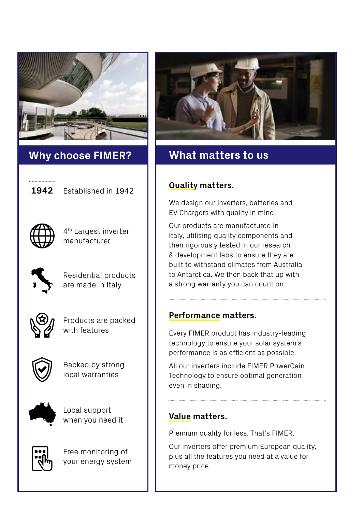

## **Why choose FIMER? What matters to us**



Established in 1942



4th Largest inverter manufacturer



Residential products are made in Italy



Products are packed with features



Backed by strong local warranties



Local support when you need it



Free monitoring of your energy system



### **Quality matters.**

We design our inverters, batteries and EV Chargers with quality in mind.

Our products are manufactured in Italy, utilising quality components and then rigorously tested in our research & development labs to ensure they are built to withstand climates from Australia to Antarctica. We then back that up with a strong warranty you can count on.

### **Performance matters.**

Every FIMER product has industry-leading technology to ensure your solar system's performance is as efficient as possible.

All our inverters include FIMER PowerGain Technology to ensure optimal generation even in shading.

### **Value matters.**

Premium quality for less. That's FIMER.

Our inverters offer premium European quality, plus all the features you need at a value for money price.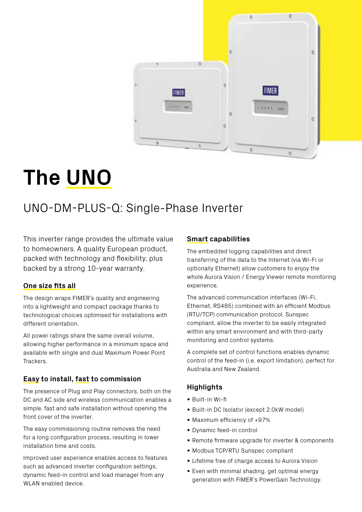

## **The UNO**

## UNO-DM-PLUS-Q: Single-Phase Inverter

This inverter range provides the ultimate value to homeowners. A quality European product, packed with technology and flexibility, plus backed by a strong 10-year warranty.

#### **One size fits all**

The design wraps FIMER's quality and engineering into a lightweight and compact package thanks to technological choices optimised for installations with different orientation.

All power ratings share the same overall volume, allowing higher performance in a minimum space and available with single and dual Maximum Power Point Trackers.

#### **Easy to install, fast to commission**

The presence of Plug and Play connectors, both on the DC and AC side and wireless communication enables a simple, fast and safe installation without opening the front cover of the inverter.

The easy commissioning routine removes the need for a long configuration process, resulting in lower installation time and costs.

Improved user experience enables access to features such as advanced inverter configuration settings, dynamic feed-in control and load manager from any WLAN enabled device.

#### **Smart capabilities**

The embedded logging capabilities and direct transferring of the data to the Internet (via Wi-Fi or optionally Ethernet) allow customers to enjoy the whole Aurora Vision / Energy Viewer remote monitoring experience.

The advanced communication interfaces (Wi-Fi, Ethernet, RS485) combined with an efficient Modbus (RTU/TCP) communication protocol, Sunspec compliant, allow the inverter to be easily integrated within any smart environment and with third-party monitoring and control systems.

A complete set of control functions enables dynamic control of the feed-in (i.e. export limitation), perfect for Australia and New Zealand.

### **Highlights**

- Built-in Wi-fi
- Built-in DC Isolator (except 2.0kW model)
- Maximum efficiency of +97%
- Dynamic feed-in control
- Remote firmware upgrade for inverter & components
- Modbus TCP/RTU Sunspec compliant
- Lifetime free of charge access to Aurora Vision
- Even with minimal shading, get optimal energy generation with FIMER's PowerGain Technology.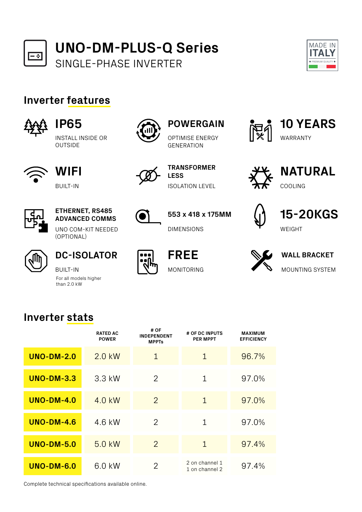



## **Inverter features**



```
IP65
```
INSTALL INSIDE OR OUTSIDE



**WIFI** BUILT-IN



## **ETHERNET, RS485 ADVANCED COMMS**

UNO COM-KIT NEEDED (OPTIONAL)



**DC-ISOLATOR**

BUILT-IN For all models higher than 2.0 kW



## **POWERGAIN**

OPTIMISE ENERGY **GENERATION** 



**TRANSFORMER LESS**

**553 x 418 x 175MM**

ISOLATION LEVEL

**FREE**

MONITORING

DIMENSIONS



COOLING **NATURAL**

**10 YEARS**

WARRANTY







**WALL BRACKET** MOUNTING SYSTEM

## **Inverter stats**

|                   | <b>RATED AC</b><br><b>POWER</b> | # OF<br><b>INDEPENDENT</b><br><b>MPPTs</b> | # OF DC INPUTS<br><b>PER MPPT</b> | <b>MAXIMUM</b><br><b>EFFICIENCY</b> |
|-------------------|---------------------------------|--------------------------------------------|-----------------------------------|-------------------------------------|
| <b>UNO-DM-2.0</b> | 2.0 kW                          | $\mathbf 1$                                | 1                                 | 96.7%                               |
| <b>UNO-DM-3.3</b> | 3.3 kW                          | $\overline{2}$                             | 1                                 | 97.0%                               |
| <b>UNO-DM-4.0</b> | 4.0 kW                          | $\overline{2}$                             | 1                                 | 97.0%                               |
| <b>UNO-DM-4.6</b> | 4.6 kW                          | 2                                          | 1                                 | 97.0%                               |
| <b>UNO-DM-5.0</b> | 5.0 kW                          | $\overline{2}$                             | 1                                 | 97.4%                               |
| <b>UNO-DM-6.0</b> | 6.0 kW                          | $\overline{2}$                             | 2 on channel 1<br>1 on channel 2  | 97.4%                               |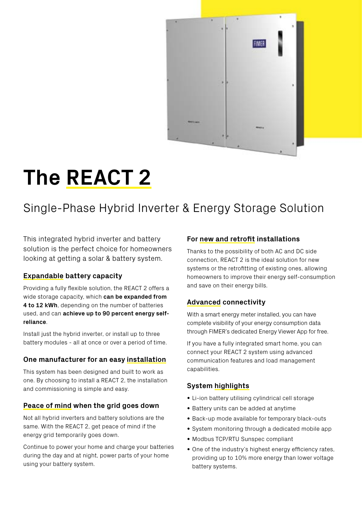

# **The REACT 2**

## Single-Phase Hybrid Inverter & Energy Storage Solution

This integrated hybrid inverter and battery solution is the perfect choice for homeowners looking at getting a solar & battery system.

### **Expandable battery capacity**

Providing a fully flexible solution, the REACT 2 offers a wide storage capacity, which **can be expanded from 4 to 12 kWh**, depending on the number of batteries used, and can **achieve up to 90 percent energy selfreliance**.

Install just the hybrid inverter, or install up to three battery modules - all at once or over a period of time.

#### **One manufacturer for an easy installation**

This system has been designed and built to work as one. By choosing to install a REACT 2, the installation and commissioning is simple and easy.

#### **Peace of mind when the grid goes down**

Not all hybrid inverters and battery solutions are the same. With the REACT 2, get peace of mind if the energy grid temporarily goes down.

Continue to power your home and charge your batteries during the day and at night, power parts of your home using your battery system.

#### **For new and retrofit installations**

Thanks to the possibility of both AC and DC side connection, REACT 2 is the ideal solution for new systems or the retrofitting of existing ones, allowing homeowners to improve their energy self-consumption and save on their energy bills.

#### **Advanced connectivity**

With a smart energy meter installed, you can have complete visibility of your energy consumption data through FIMER's dedicated Energy Viewer App for free.

If you have a fully integrated smart home, you can connect your REACT 2 system using advanced communication features and load management capabilities.

### **System highlights**

- Li-ion battery utilising cylindrical cell storage
- Battery units can be added at anytime
- Back-up mode available for temporary black-outs
- System monitoring through a dedicated mobile app
- Modbus TCP/RTU Sunspec compliant
- One of the industry's highest energy efficiency rates, providing up to 10% more energy than lower voltage battery systems.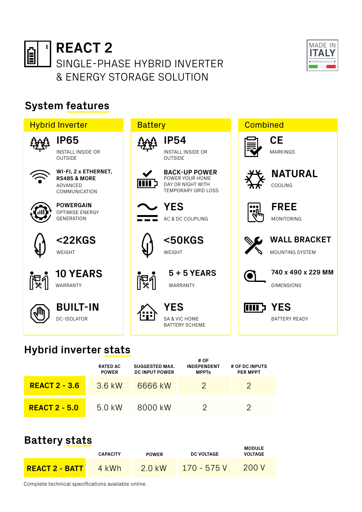



## **System features**



**MODULE** 

## **Hybrid inverter stats**

|                      | <b>RATED AC</b><br><b>POWER</b> | <b>SUGGESTED MAX.</b><br><b>DC INPUT POWER</b> | # OF<br><b>INDEPENDENT</b><br><b>MPPTs</b> | # OF DC INPUTS<br><b>PER MPPT</b> |
|----------------------|---------------------------------|------------------------------------------------|--------------------------------------------|-----------------------------------|
| <b>REACT 2 - 3.6</b> | 3.6 kW                          | 6666 kW                                        |                                            |                                   |
| <b>REACT 2 - 5.0</b> | 5.0 kW                          | 8000 kW                                        |                                            |                                   |

## **Battery stats**

|                  | <b>CAPACITY</b> | <b>POWER</b> | <b>DC VOLTAGE</b> | <b>MODULE</b><br><b>VOLTAGE</b> |
|------------------|-----------------|--------------|-------------------|---------------------------------|
| $REACT 2 - BATT$ | 4 kWh           | $2.0$ kW     | $170 - 575 V$     | 200V                            |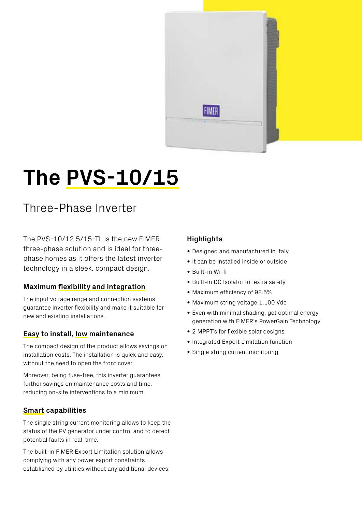

# **The PVS-10/15**

## Three-Phase Inverter

The PVS-10/12.5/15-TL is the new FIMER three-phase solution and is ideal for threephase homes as it offers the latest inverter technology in a sleek, compact design.

### **Maximum flexibility and integration**

The input voltage range and connection systems guarantee inverter flexibility and make it suitable for new and existing installations.

#### **Easy to install, low maintenance**

The compact design of the product allows savings on installation costs. The installation is quick and easy, without the need to open the front cover.

Moreover, being fuse-free, this inverter guarantees further savings on maintenance costs and time, reducing on-site interventions to a minimum.

#### **Smart capabilities**

The single string current monitoring allows to keep the status of the PV generator under control and to detect potential faults in real-time.

The built-in FIMER Export Limitation solution allows complying with any power export constraints established by utilities without any additional devices.

### **Highlights**

- Designed and manufactured in Italy
- It can be installed inside or outside
- Built-in Wi-fi
- Built-in DC Isolator for extra safety
- Maximum efficiency of 98.5%
- Maximum string voltage 1,100 Vdc
- Even with minimal shading, get optimal energy generation with FIMER's PowerGain Technology.
- 2 MPPT's for flexible solar designs
- Integrated Export Limitation function
- Single string current monitoring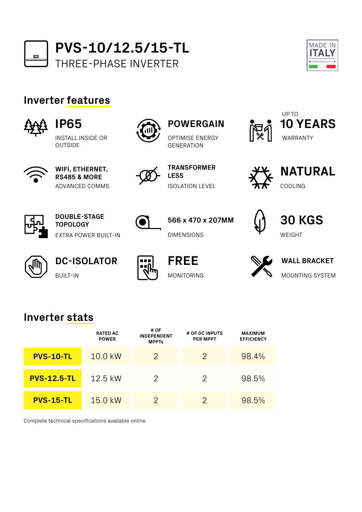

**PVS-10/12.5/15-TL** THREE-PHASE INVERTER



## **Inverter features**



```
IP65
```
INSTALL INSIDE OR OUTSIDE



**WIFI, ETHERNET, RS485 & MORE** ADVANCED COMMS



**TRANSFORMER LESS**

OPTIMISE ENERGY **GENERATION** 

**POWERGAIN**

ISOLATION LEVEL

**566 x 470 x 207MM**





COOLING **NATURAL**



**DOUBLE-STAGE TOPOLOGY** EXTRA POWER BUILT-IN



**DC-ISOLATOR** BUILT-IN



**FREE** MONITORING

DIMENSIONS



**WALL BRACKET** MOUNTING SYSTEM

WEIGHT

**30 KGS**

## **Inverter stats**

|                    | <b>RATED AC</b><br><b>POWER</b> | # OF<br><b>INDEPENDENT</b><br><b>MPPTs</b> | # OF DC INPUTS<br><b>PER MPPT</b> | <b>MAXIMUM</b><br><b>EFFICIENCY</b> |
|--------------------|---------------------------------|--------------------------------------------|-----------------------------------|-------------------------------------|
| <b>PVS-10-TL</b>   | 10.0 kW                         | 2                                          | 2                                 | 98.4%                               |
| <b>PVS-12.5-TL</b> | 12.5 kW                         | 2                                          |                                   | 98.5%                               |
| <b>PVS-15-TL</b>   | 15.0 kW                         | $\mathcal{P}$                              | 2                                 | 98.5%                               |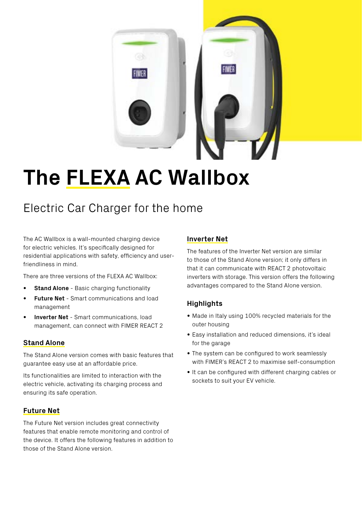

## **The FLEXA AC Wallbox**

## Electric Car Charger for the home

The AC Wallbox is a wall-mounted charging device for electric vehicles. It's specifically designed for residential applications with safety, efficiency and userfriendliness in mind.

There are three versions of the FLEXA AC Wallbox:

- **• Stand Alone** Basic charging functionality
- **• Future Net** Smart communications and load management
- **• Inverter Net** Smart communications, load management, can connect with FIMER REACT 2

#### **Stand Alone**

The Stand Alone version comes with basic features that guarantee easy use at an affordable price.

Its functionalities are limited to interaction with the electric vehicle, activating its charging process and ensuring its safe operation.

#### **Future Net**

The Future Net version includes great connectivity features that enable remote monitoring and control of the device. It offers the following features in addition to those of the Stand Alone version.

#### **Inverter Net**

The features of the Inverter Net version are similar to those of the Stand Alone version; it only differs in that it can communicate with REACT 2 photovoltaic inverters with storage. This version offers the following advantages compared to the Stand Alone version.

### **Highlights**

- Made in Italy using 100% recycled materials for the outer housing
- Easy installation and reduced dimensions, it's ideal for the garage
- The system can be configured to work seamlessly with FIMER's REACT 2 to maximise self-consumption
- It can be configured with different charging cables or sockets to suit your EV vehicle.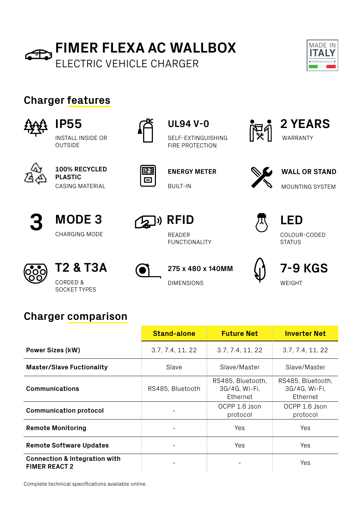



## **Charger features**



```
INSTALL INSIDE OR 
OUTSIDE
IP55
```


**100% RECYCLED PLASTIC** CASING MATERIAL







## **UL94 V-0 2 YEARS**

SELF-EXTINGUISHING FIRE PROTECTION



BUILT-IN



MOUNTING SYSTEM **ENERGY METER WALL OR STAND** 

**WARRANTY** 







READER FUNCTIONALITY



## CHARGING MODE READER READER COLOUR-CODED **STATUS LED**



CORDED & DIMENSIONS

SOCKET TYPES









## **Charger comparison**

|                                                                  | <b>Stand-alone</b> | <b>Future Net</b>                              | <b>Inverter Net</b>                            |
|------------------------------------------------------------------|--------------------|------------------------------------------------|------------------------------------------------|
| <b>Power Sizes (kW)</b>                                          | 3.7, 7.4, 11, 22   | 3.7, 7.4, 11, 22                               | 3.7, 7.4, 11, 22                               |
| <b>Master/Slave Fuctionality</b>                                 | Slave              | Slave/Master                                   | Slave/Master                                   |
| <b>Communications</b>                                            | RS485, Bluetooth   | RS485, Bluetooth,<br>3G/4G, Wi-Fi,<br>Ethernet | RS485, Bluetooth,<br>3G/4G, Wi-Fi,<br>Ethernet |
| <b>Communication protocol</b>                                    |                    | OCPP 1.6 Json<br>protocol                      | OCPP 1.6 Json<br>protocol                      |
| <b>Remote Monitoring</b>                                         |                    | Yes                                            | <b>Yes</b>                                     |
| Remote Software Updates                                          |                    | Yes                                            | Yes                                            |
| <b>Connection &amp; Integration with</b><br><b>FIMER REACT 2</b> |                    |                                                | Yes                                            |